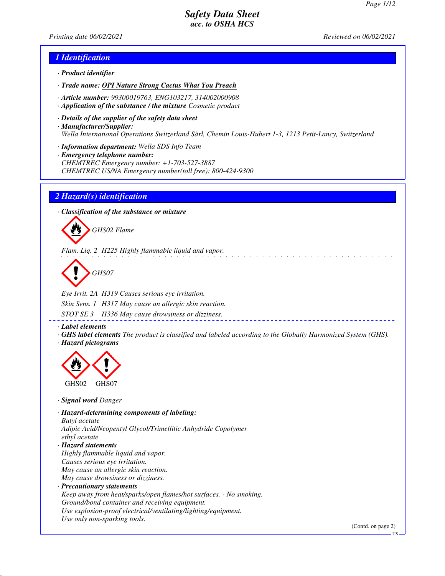*Printing date 06/02/2021 Reviewed on 06/02/2021*

### *1 Identification*

- *· Product identifier*
- *· Trade name: OPI Nature Strong Cactus What You Preach*
- *· Article number: 99300019763, ENG103217, 314002000908*
- *· Application of the substance / the mixture Cosmetic product*
- *· Details of the supplier of the safety data sheet · Manufacturer/Supplier: Wella International Operations Switzerland Sàrl, Chemin Louis-Hubert 1-3, 1213 Petit-Lancy, Switzerland*
- *· Information department: Wella SDS Info Team*
- *· Emergency telephone number: CHEMTREC Emergency number: +1-703-527-3887 CHEMTREC US/NA Emergency number(toll free): 800-424-9300*

### *2 Hazard(s) identification*

*· Classification of the substance or mixture*



*Flam. Liq. 2 H225 Highly flammable liquid and vapor.*

*GHS07*

*Eye Irrit. 2A H319 Causes serious eye irritation. Skin Sens. 1 H317 May cause an allergic skin reaction.*

*STOT SE 3 H336 May cause drowsiness or dizziness.*

*· Label elements*

*· GHS label elements The product is classified and labeled according to the Globally Harmonized System (GHS). · Hazard pictograms*



*· Signal word Danger*

*· Hazard-determining components of labeling: Butyl acetate Adipic Acid/Neopentyl Glycol/Trimellitic Anhydride Copolymer ethyl acetate · Hazard statements Highly flammable liquid and vapor. Causes serious eye irritation. May cause an allergic skin reaction. May cause drowsiness or dizziness. · Precautionary statements Keep away from heat/sparks/open flames/hot surfaces. - No smoking. Ground/bond container and receiving equipment. Use explosion-proof electrical/ventilating/lighting/equipment. Use only non-sparking tools.*

(Contd. on page 2)

US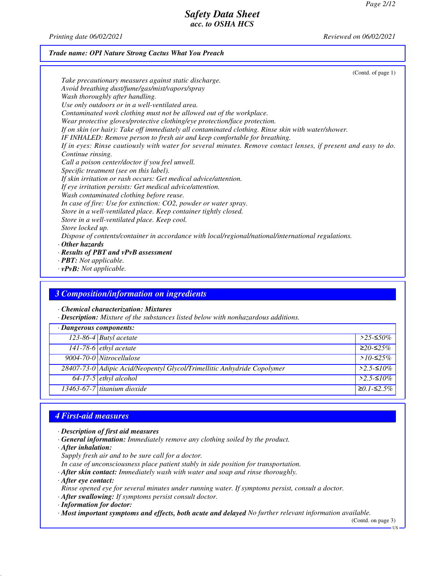*Printing date 06/02/2021 Reviewed on 06/02/2021*

## *Trade name: OPI Nature Strong Cactus What You Preach*

| (Contd. of page $1$ )                                                                                          |  |
|----------------------------------------------------------------------------------------------------------------|--|
| Take precautionary measures against static discharge.                                                          |  |
| Avoid breathing dust/fume/gas/mist/vapors/spray                                                                |  |
| Wash thoroughly after handling.                                                                                |  |
| Use only outdoors or in a well-ventilated area.                                                                |  |
| Contaminated work clothing must not be allowed out of the workplace.                                           |  |
| Wear protective gloves/protective clothing/eye protection/face protection.                                     |  |
| If on skin (or hair): Take off immediately all contaminated clothing. Rinse skin with water/shower.            |  |
| IF INHALED: Remove person to fresh air and keep comfortable for breathing.                                     |  |
| If in eyes: Rinse cautiously with water for several minutes. Remove contact lenses, if present and easy to do. |  |
| Continue rinsing.                                                                                              |  |
| Call a poison center/doctor if you feel unwell.                                                                |  |
| Specific treatment (see on this label).                                                                        |  |
| If skin irritation or rash occurs: Get medical advice/attention.                                               |  |
| If eye irritation persists: Get medical advice/attention.                                                      |  |
| Wash contaminated clothing before reuse.                                                                       |  |
| In case of fire: Use for extinction: CO2, powder or water spray.                                               |  |
| Store in a well-ventilated place. Keep container tightly closed.                                               |  |
| Store in a well-ventilated place. Keep cool.                                                                   |  |
| Store locked up.                                                                                               |  |
| Dispose of contents/container in accordance with local/regional/national/international regulations.            |  |
| $\cdot$ Other hazards                                                                                          |  |
| $\cdot$ Results of PBT and vPvB assessment                                                                     |  |
| $\cdot$ <b>PBT:</b> Not applicable.                                                                            |  |

*· vPvB: Not applicable.*

## *3 Composition/information on ingredients*

*· Chemical characterization: Mixtures*

*· Description: Mixture of the substances listed below with nonhazardous additions.*

| $\cdot$ Dangerous components: |                                                                         |              |
|-------------------------------|-------------------------------------------------------------------------|--------------|
|                               | 123-86-4 Butyl acetate                                                  | $>$ 25-≤50%  |
|                               | 141-78-6 ethyl acetate                                                  | $≥20-≤25%$   |
|                               | 9004-70-0 Nitrocellulose                                                | $>10-52.5\%$ |
|                               | 28407-73-0 Adipic Acid/Neopentyl Glycol/Trimellitic Anhydride Copolymer | $>2.5$ -≤10% |
|                               | $64-17-5$ ethyl alcohol                                                 | $>2.5-10\%$  |
|                               | $13463-67-7$ titanium dioxide                                           | $≥0.1-S2.5%$ |

# *4 First-aid measures*

- *· Description of first aid measures*
- *· General information: Immediately remove any clothing soiled by the product.*
- *· After inhalation:*
- *Supply fresh air and to be sure call for a doctor.*
- *In case of unconsciousness place patient stably in side position for transportation.*
- *· After skin contact: Immediately wash with water and soap and rinse thoroughly.*
- *· After eye contact:*
- *Rinse opened eye for several minutes under running water. If symptoms persist, consult a doctor.*
- *· After swallowing: If symptoms persist consult doctor.*
- *· Information for doctor:*
- *· Most important symptoms and effects, both acute and delayed No further relevant information available.*

(Contd. on page 3)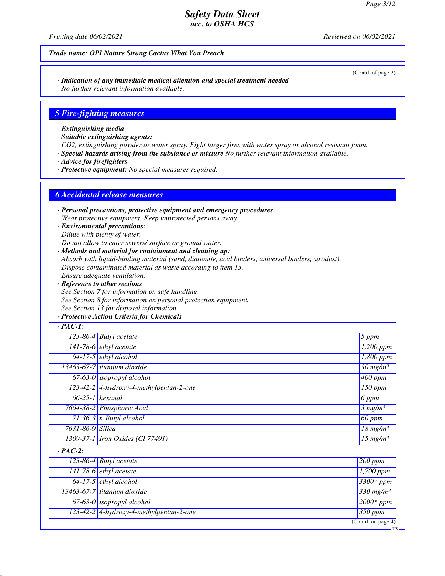*Printing date 06/02/2021 Reviewed on 06/02/2021*

### *Trade name: OPI Nature Strong Cactus What You Preach*

*· Indication of any immediate medical attention and special treatment needed No further relevant information available.*

#### *5 Fire-fighting measures*

*· Extinguishing media*

*· Suitable extinguishing agents:*

*CO2, extinguishing powder or water spray. Fight larger fires with water spray or alcohol resistant foam.*

*· Special hazards arising from the substance or mixture No further relevant information available.*

*· Advice for firefighters*

*· Protective equipment: No special measures required.*

### *6 Accidental release measures*

*· Personal precautions, protective equipment and emergency procedures Wear protective equipment. Keep unprotected persons away.*

*· Environmental precautions: Dilute with plenty of water.*

*Do not allow to enter sewers/ surface or ground water.*

*· Methods and material for containment and cleaning up:*

*Absorb with liquid-binding material (sand, diatomite, acid binders, universal binders, sawdust).*

*Dispose contaminated material as waste according to item 13.*

*Ensure adequate ventilation.*

*· Reference to other sections See Section 7 for information on safe handling. See Section 8 for information on personal protection equipment. See Section 13 for disposal information.*

#### *· Protective Action Criteria for Chemicals*

| $\cdot$ PAC-1:   |                                           |                                        |
|------------------|-------------------------------------------|----------------------------------------|
|                  | $\overline{123}$ -86-4 Butyl acetate      | 5 ppm                                  |
|                  | $\overline{141-78-6}$ ethyl acetate       | $1,200$ ppm                            |
|                  | $64-17-5$ ethyl alcohol                   | 1,800 ppm                              |
|                  | 13463-67-7 titanium dioxide               | $\frac{30}{30}$ mg/m <sup>3</sup>      |
|                  | $67-63-0$ isopropyl alcohol               | $\overline{400}$ ppm                   |
|                  | $123-42-2$ 4-hydroxy-4-methylpentan-2-one | $\overline{1}50$ ppm                   |
|                  | $66-25-1$ hexanal                         | 6 ppm                                  |
|                  | 7664-38-2 Phosphoric Acid                 | 3 mg/m <sup>3</sup>                    |
|                  | $71-36-3$ n-Butyl alcohol                 | 60 ppm                                 |
| 7631-86-9 Silica |                                           | $18$ mg/m <sup>3</sup>                 |
|                  | 1309-37-1 <i>Iron Oxides</i> (CI 77491)   | $\overline{15}$ mg/m <sup>3</sup>      |
| $\cdot$ PAC-2:   |                                           |                                        |
|                  | 123-86-4 Butyl acetate                    | 200 ppm                                |
|                  | 141-78-6 $ethyl$ acetate                  | $\overline{1,}700$ ppm                 |
|                  | $64-17-5$ ethyl alcohol                   | $\overline{3}300*ppm$                  |
|                  | 13463-67-7 titanium dioxide               | $\overline{330}$ mg/m <sup>3</sup>     |
|                  | $67-63-0$ isopropyl alcohol               | $2000*$ ppm                            |
|                  | 123-42-2 4-hydroxy-4-methylpentan-2-one   | $350$ ppm                              |
|                  |                                           | $\overline{(\text{Contd. on page 4})}$ |

(Contd. of page 2)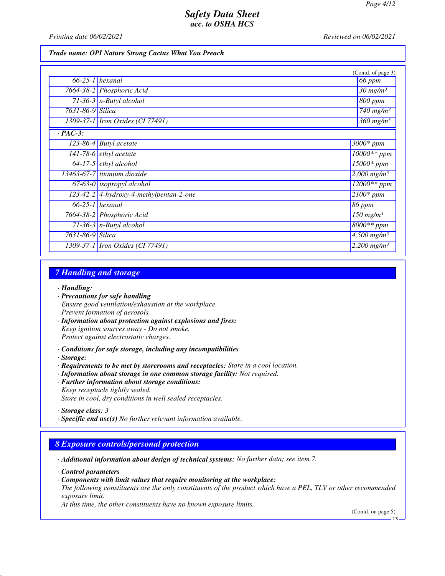*Printing date 06/02/2021 Reviewed on 06/02/2021*

#### *Trade name: OPI Nature Strong Cactus What You Preach*

|                  |                                         | (Contd. of page 3)                 |
|------------------|-----------------------------------------|------------------------------------|
|                  | $66-25-1$ hexanal                       | 66 ppm                             |
|                  | 7664-38-2 Phosphoric Acid               | $30$ mg/m <sup>3</sup>             |
|                  | $71-36-3$ n-Butyl alcohol               | 800 ppm                            |
| 7631-86-9 Silica |                                         | $\overline{7}40$ mg/m <sup>3</sup> |
|                  | 1309-37-1 Iron Oxides (CI 77491)        | $360$ mg/m <sup>3</sup>            |
| $\cdot$ PAC-3:   |                                         |                                    |
|                  | $123-86-4$ Butyl acetate                | $3000*$ ppm                        |
|                  | $141-78-6$ <i>ethyl</i> acetate         | 10000** ppm                        |
|                  | $64-17-5$ ethyl alcohol                 | $15000*$ ppm                       |
|                  | $13463-67-7$ titanium dioxide           | $2,000$ mg/m <sup>3</sup>          |
|                  | $67-63-0$ isopropyl alcohol             | $12000**$ ppm                      |
|                  | 123-42-2 4-hydroxy-4-methylpentan-2-one | $\overline{2100}$ * ppm            |
|                  | $66-25-1$ hexanal                       | 86 ppm                             |
|                  | 7664-38-2 Phosphoric Acid               | $150$ mg/m <sup>3</sup>            |
|                  | 71-36-3 $n$ -Butyl alcohol              | 8000** ppm                         |
| 7631-86-9 Silica |                                         | $4,500$ mg/m <sup>3</sup>          |
|                  | 1309-37-1 <i>Iron Oxides</i> (CI 77491) | $2,200$ mg/m <sup>3</sup>          |

## *7 Handling and storage*

*· Handling:*

- *· Precautions for safe handling Ensure good ventilation/exhaustion at the workplace. Prevent formation of aerosols.*
- *· Information about protection against explosions and fires: Keep ignition sources away - Do not smoke. Protect against electrostatic charges.*
- *· Conditions for safe storage, including any incompatibilities*
- *· Storage:*
- *· Requirements to be met by storerooms and receptacles: Store in a cool location.*
- *· Information about storage in one common storage facility: Not required.*
- *· Further information about storage conditions:*
- *Keep receptacle tightly sealed. Store in cool, dry conditions in well sealed receptacles.*

*· Specific end use(s) No further relevant information available.*

### *8 Exposure controls/personal protection*

*· Additional information about design of technical systems: No further data; see item 7.*

*· Control parameters*

*· Components with limit values that require monitoring at the workplace:*

*The following constituents are the only constituents of the product which have a PEL, TLV or other recommended exposure limit.*

*At this time, the other constituents have no known exposure limits.*

(Contd. on page 5)

*<sup>·</sup> Storage class: 3* 

**HS**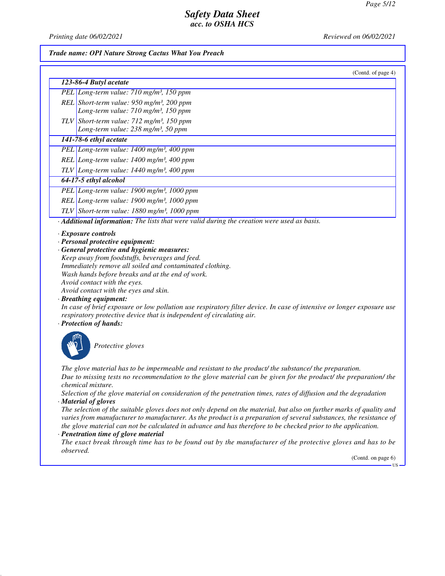*Printing date 06/02/2021 Reviewed on 06/02/2021*

#### *Trade name: OPI Nature Strong Cactus What You Preach*

| (Contd. of page 4)                                                                                                                                                                                                                                                                                                                                                                                                                                                                                                                                                                                                           |
|------------------------------------------------------------------------------------------------------------------------------------------------------------------------------------------------------------------------------------------------------------------------------------------------------------------------------------------------------------------------------------------------------------------------------------------------------------------------------------------------------------------------------------------------------------------------------------------------------------------------------|
| 123-86-4 Butyl acetate                                                                                                                                                                                                                                                                                                                                                                                                                                                                                                                                                                                                       |
| PEL Long-term value: 710 mg/m <sup>3</sup> , 150 ppm                                                                                                                                                                                                                                                                                                                                                                                                                                                                                                                                                                         |
| REL Short-term value: $950$ mg/m <sup>3</sup> , 200 ppm                                                                                                                                                                                                                                                                                                                                                                                                                                                                                                                                                                      |
| Long-term value: 710 mg/m <sup>3</sup> , 150 ppm                                                                                                                                                                                                                                                                                                                                                                                                                                                                                                                                                                             |
| TLV Short-term value: $712$ mg/m <sup>3</sup> , 150 ppm                                                                                                                                                                                                                                                                                                                                                                                                                                                                                                                                                                      |
| Long-term value: 238 mg/m <sup>3</sup> , 50 ppm                                                                                                                                                                                                                                                                                                                                                                                                                                                                                                                                                                              |
| 141-78-6 ethyl acetate                                                                                                                                                                                                                                                                                                                                                                                                                                                                                                                                                                                                       |
| PEL Long-term value: 1400 mg/m <sup>3</sup> , 400 ppm                                                                                                                                                                                                                                                                                                                                                                                                                                                                                                                                                                        |
| REL Long-term value: 1400 mg/m <sup>3</sup> , 400 ppm                                                                                                                                                                                                                                                                                                                                                                                                                                                                                                                                                                        |
| TLV Long-term value: $1440$ mg/m <sup>3</sup> , 400 ppm                                                                                                                                                                                                                                                                                                                                                                                                                                                                                                                                                                      |
| 64-17-5 ethyl alcohol                                                                                                                                                                                                                                                                                                                                                                                                                                                                                                                                                                                                        |
| PEL Long-term value: 1900 mg/m <sup>3</sup> , 1000 ppm                                                                                                                                                                                                                                                                                                                                                                                                                                                                                                                                                                       |
| REL Long-term value: 1900 mg/m <sup>3</sup> , 1000 ppm                                                                                                                                                                                                                                                                                                                                                                                                                                                                                                                                                                       |
| TLV Short-term value: $1880$ mg/m <sup>3</sup> , 1000 ppm                                                                                                                                                                                                                                                                                                                                                                                                                                                                                                                                                                    |
| Additional information: The lists that were valid during the creation were used as basis.                                                                                                                                                                                                                                                                                                                                                                                                                                                                                                                                    |
| · Exposure controls<br>· Personal protective equipment:<br>· General protective and hygienic measures:<br>Keep away from foodstuffs, beverages and feed.<br>Immediately remove all soiled and contaminated clothing.<br>Wash hands before breaks and at the end of work.<br>Avoid contact with the eyes.<br>Avoid contact with the eyes and skin.<br>· Breathing equipment:<br>In case of brief exposure or low pollution use respiratory filter device. In case of intensive or longer exposure use<br>respiratory protective device that is independent of circulating air.<br>· Protection of hands:<br>Protective gloves |
| The glove material has to be impermeable and resistant to the product/ the substance/ the preparation.<br>Due to missing tests no recommendation to the glove material can be given for the product/ the preparation/ the<br>chemical mixture.<br>Selection of the glove material on consideration of the penetration times, rates of diffusion and the degradation<br>· Material of gloves                                                                                                                                                                                                                                  |

*The selection of the suitable gloves does not only depend on the material, but also on further marks of quality and varies from manufacturer to manufacturer. As the product is a preparation of several substances, the resistance of the glove material can not be calculated in advance and has therefore to be checked prior to the application.*

### *· Penetration time of glove material*

*The exact break through time has to be found out by the manufacturer of the protective gloves and has to be observed.*

(Contd. on page 6)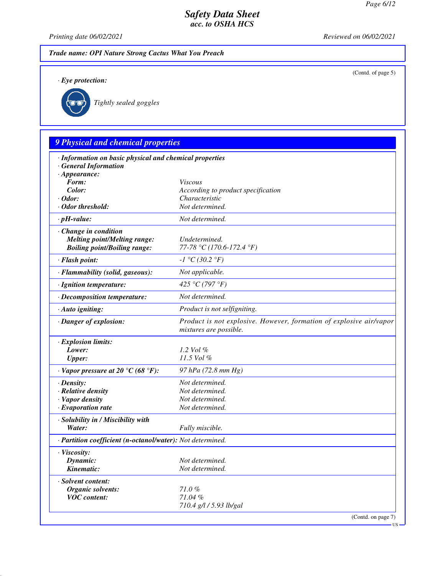*Printing date 06/02/2021 Reviewed on 06/02/2021*

## *Trade name: OPI Nature Strong Cactus What You Preach*

*· Eye protection:*

(Contd. of page 5)



*Tightly sealed goggles*

# *9 Physical and chemical properties · Information on basic physical and chemical properties · General Information · Appearance: Form: Viscous Color: According to product specification · Odor: Characteristic · Odor threshold: Not determined. · pH-value: Not determined. · Change in condition Melting point/Melting range: Undetermined. Boiling point/Boiling range: 77-78 °C (170.6-172.4 °F) · Flash point: -1 °C (30.2 °F) · Flammability (solid, gaseous): Not applicable. · Ignition temperature: 425 °C (797 °F) · Decomposition temperature: Not determined. · Auto igniting: Product is not selfigniting. · Danger of explosion: Product is not explosive. However, formation of explosive air/vapor mixtures are possible. · Explosion limits: Lower: 1.2 Vol % Upper: 11.5 Vol % · Vapor pressure at 20 °C (68 °F): 97 hPa (72.8 mm Hg) · Density: Not determined. · Relative density Not determined. · Vapor density Not determined. <i>·* Evaporation rate *· Solubility in / Miscibility with Water: Fully miscible. · Partition coefficient (n-octanol/water): Not determined. · Viscosity: Dynamic: Not determined. Kinematic: Not determined. · Solvent content: Organic solvents: 71.0 % VOC content: 71.04 % 710.4 g/l / 5.93 lb/gal* (Contd. on page 7) US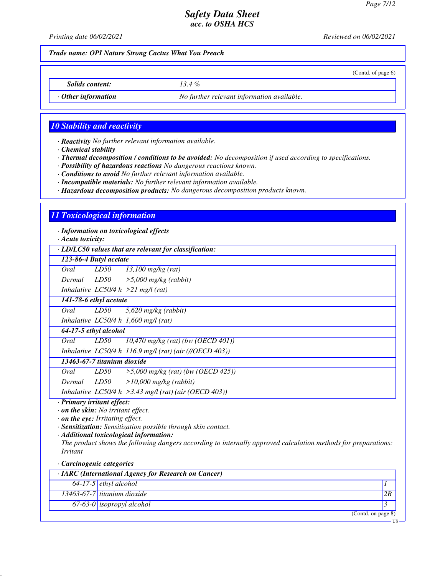(Contd. of page 6)

## *Safety Data Sheet acc. to OSHA HCS*

*Printing date 06/02/2021 Reviewed on 06/02/2021*

*Trade name: OPI Nature Strong Cactus What You Preach*

*Solids content: 13.4 %*

*· Other information No further relevant information available.*

### *10 Stability and reactivity*

*· Reactivity No further relevant information available.*

*· Chemical stability*

*· Thermal decomposition / conditions to be avoided: No decomposition if used according to specifications.*

*· Possibility of hazardous reactions No dangerous reactions known.*

*· Conditions to avoid No further relevant information available.*

*· Incompatible materials: No further relevant information available.*

*· Hazardous decomposition products: No dangerous decomposition products known.*

### *11 Toxicological information*

*· Information on toxicological effects*

*· Acute toxicity:*

*· LD/LC50 values that are relevant for classification:*

| · LD/LC50 values inul ure relevant for classification. |      |                                                                                                                                      |  |  |
|--------------------------------------------------------|------|--------------------------------------------------------------------------------------------------------------------------------------|--|--|
| 123-86-4 Butyl acetate                                 |      |                                                                                                                                      |  |  |
| Oral                                                   | LD50 | $13,100$ mg/kg (rat)                                                                                                                 |  |  |
| Dermal                                                 | LD50 | $>$ 5,000 mg/kg (rabbit)                                                                                                             |  |  |
|                                                        |      |                                                                                                                                      |  |  |
| 141-78-6 ethyl acetate                                 |      |                                                                                                                                      |  |  |
| Oral                                                   | LD50 | $5,620$ mg/kg (rabbit)                                                                                                               |  |  |
|                                                        |      |                                                                                                                                      |  |  |
|                                                        |      |                                                                                                                                      |  |  |
| Oral                                                   | LD50 | $10,470$ mg/kg (rat) (bw (OECD 401))                                                                                                 |  |  |
|                                                        |      | Inhalative LC50/4 h 116.9 mg/l (rat) (air (//OECD 403))                                                                              |  |  |
|                                                        |      |                                                                                                                                      |  |  |
| Oral                                                   | LD50 | $>5,000$ mg/kg (rat) (bw (OECD 425))                                                                                                 |  |  |
| Dermal                                                 | LD50 | $>10,000$ mg/kg (rabbit)                                                                                                             |  |  |
|                                                        |      | Inhalative $ LCS0/4 h  > 3.43$ mg/l (rat) (air (OECD 403))                                                                           |  |  |
|                                                        |      | Inhalative LC50/4 h $>21$ mg/l (rat)<br>Inhalative LC50/4 h 1,600 mg/l (rat)<br>64-17-5 ethyl alcohol<br>13463-67-7 titanium dioxide |  |  |

*· Primary irritant effect:*

*· on the skin: No irritant effect.*

*· on the eye: Irritating effect.*

*· Sensitization: Sensitization possible through skin contact.*

*· Additional toxicological information:*

*The product shows the following dangers according to internally approved calculation methods for preparations: Irritant*

#### *· Carcinogenic categories*

| · IARC (International Agency for Research on Cancer) |                                      |    |  |
|------------------------------------------------------|--------------------------------------|----|--|
|                                                      | $64-17-5$ ethyl alcohol              |    |  |
|                                                      | $\sqrt{13463-67-7}$ titanium dioxide | 2B |  |
|                                                      | $67-63-0$ isopropyl alcohol          |    |  |
|                                                      | (Contd. on page 8)                   |    |  |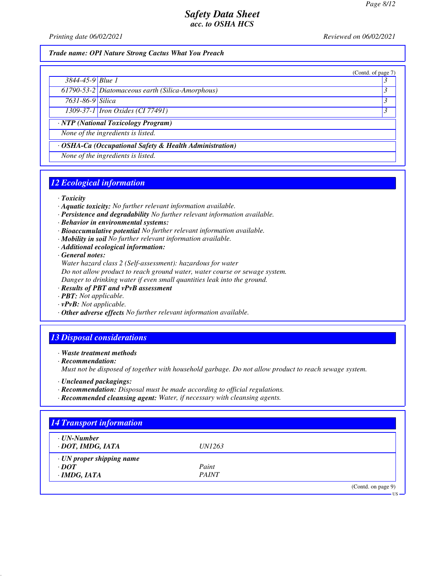(Contd. of page 7)

## *Safety Data Sheet acc. to OSHA HCS*

*Printing date 06/02/2021 Reviewed on 06/02/2021*

#### *Trade name: OPI Nature Strong Cactus What You Preach*

| $3844 - 45 - 9$ Blue 1 |  |
|------------------------|--|
|                        |  |

*61790-53-2 Diatomaceous earth (Silica-Amorphous) 3* 

*7631-86-9 Silica 3* 

*1309-37-1 Iron Oxides (CI 77491) 3* 

*· NTP (National Toxicology Program)*

*None of the ingredients is listed.*

*· OSHA-Ca (Occupational Safety & Health Administration)*

*None of the ingredients is listed.*

## *12 Ecological information*

*· Toxicity*

- *· Aquatic toxicity: No further relevant information available.*
- *· Persistence and degradability No further relevant information available.*
- *· Behavior in environmental systems:*
- *· Bioaccumulative potential No further relevant information available.*
- *· Mobility in soil No further relevant information available.*
- *· Additional ecological information:*

*· General notes:*

*Water hazard class 2 (Self-assessment): hazardous for water Do not allow product to reach ground water, water course or sewage system. Danger to drinking water if even small quantities leak into the ground.*

- *· Results of PBT and vPvB assessment*
- *· PBT: Not applicable.*
- *· vPvB: Not applicable.*
- *· Other adverse effects No further relevant information available.*

### *13 Disposal considerations*

*· Waste treatment methods*

*· Recommendation:*

*Must not be disposed of together with household garbage. Do not allow product to reach sewage system.*

- *· Uncleaned packagings:*
- *· Recommendation: Disposal must be made according to official regulations.*
- *· Recommended cleansing agent: Water, if necessary with cleansing agents.*

| $\cdot$ UN-Number               |               |  |
|---------------------------------|---------------|--|
| · DOT, IMDG, IATA               | <i>UN1263</i> |  |
| $\cdot$ UN proper shipping name |               |  |
| $\cdot$ DOT                     | Paint         |  |
| $\cdot$ IMDG, IATA              | <b>PAINT</b>  |  |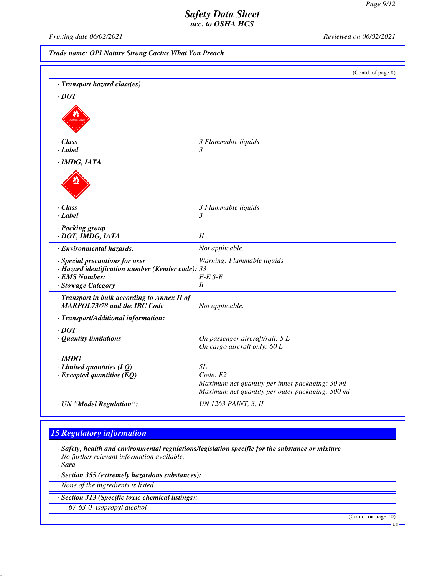*Printing date 06/02/2021 Reviewed on 06/02/2021*

*Trade name: OPI Nature Strong Cactus What You Preach*

|                                                                                                                           | (Contd. of page 8)                                                                                  |
|---------------------------------------------------------------------------------------------------------------------------|-----------------------------------------------------------------------------------------------------|
| · Transport hazard class(es)                                                                                              |                                                                                                     |
| $\cdot$ <i>DOT</i>                                                                                                        |                                                                                                     |
|                                                                                                                           |                                                                                                     |
| $\cdot$ Class                                                                                                             | 3 Flammable liquids                                                                                 |
| $\cdot$ Label                                                                                                             | 3<br><u>.</u>                                                                                       |
| · IMDG, IATA                                                                                                              |                                                                                                     |
|                                                                                                                           |                                                                                                     |
| · Class                                                                                                                   | 3 Flammable liquids                                                                                 |
| · Label                                                                                                                   | 3                                                                                                   |
| · Packing group<br>· DOT, IMDG, IATA                                                                                      | I                                                                                                   |
| · Environmental hazards:                                                                                                  | Not applicable.                                                                                     |
| · Special precautions for user<br>· Hazard identification number (Kemler code): 33<br>· EMS Number:<br>· Stowage Category | Warning: Flammable liquids<br>$F-E,S-E$<br>B                                                        |
| · Transport in bulk according to Annex II of<br><b>MARPOL73/78 and the IBC Code</b>                                       | Not applicable.                                                                                     |
| · Transport/Additional information:                                                                                       |                                                                                                     |
| $\cdot$ <i>DOT</i><br>· Quantity limitations                                                                              | On passenger aircraft/rail: 5 L<br>On cargo aircraft only: 60 L                                     |
|                                                                                                                           |                                                                                                     |
| $\cdot$ IMDG<br>$\cdot$ Limited quantities (LQ)                                                                           | 5L                                                                                                  |
| $\cdot$ Excepted quantities (EQ)                                                                                          | Code: E2                                                                                            |
|                                                                                                                           | Maximum net quantity per inner packaging: 30 ml<br>Maximum net quantity per outer packaging: 500 ml |
| · UN "Model Regulation":                                                                                                  | <b>UN 1263 PAINT, 3, II</b>                                                                         |

# *15 Regulatory information*

*· Safety, health and environmental regulations/legislation specific for the substance or mixture No further relevant information available.*

*· Sara*

*· Section 355 (extremely hazardous substances):*

*None of the ingredients is listed.*

*· Section 313 (Specific toxic chemical listings):*

*67-63-0 isopropyl alcohol*

(Contd. on page 10)

US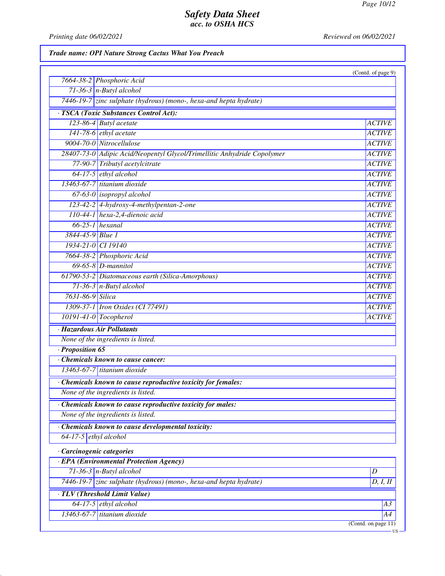US

# *Safety Data Sheet acc. to OSHA HCS*

*Printing date 06/02/2021 Reviewed on 06/02/2021*

# *Trade name: OPI Nature Strong Cactus What You Preach*

| <b>ACTIVE</b>          |
|------------------------|
| <b>ACTIVE</b>          |
| <b>ACTIVE</b>          |
| <b>ACTIVE</b>          |
| <b>ACTIVE</b>          |
| <b>ACTIVE</b>          |
| <b>ACTIVE</b>          |
| <b>ACTIVE</b>          |
| <b>ACTIVE</b>          |
| <b>ACTIVE</b>          |
| <b>ACTIVE</b>          |
| <b>ACTIVE</b>          |
| <b>ACTIVE</b>          |
| <b>ACTIVE</b>          |
| <b>ACTIVE</b>          |
| <b>ACTIVE</b>          |
| <b>ACTIVE</b>          |
| <b>ACTIVE</b>          |
| <b>ACTIVE</b>          |
| <b>ACTIVE</b>          |
|                        |
|                        |
|                        |
|                        |
|                        |
|                        |
|                        |
|                        |
|                        |
|                        |
|                        |
|                        |
|                        |
| $\boldsymbol{D}$       |
| $\overline{D}$ , I, II |
|                        |
| A <sub>3</sub>         |
| A4                     |
|                        |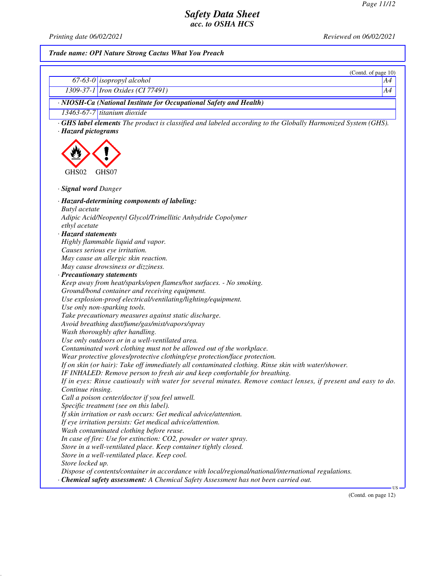*Printing date 06/02/2021 Reviewed on 06/02/2021*

# *Trade name: OPI Nature Strong Cactus What You Preach*

|                                                                                                                    | (Contd. of page 10) |
|--------------------------------------------------------------------------------------------------------------------|---------------------|
| $67-63-0$ isopropyl alcohol                                                                                        | Α4                  |
| 1309-37-1 Iron Oxides (CI 77491)                                                                                   | A4                  |
| · NIOSH-Ca (National Institute for Occupational Safety and Health)                                                 |                     |
| 13463-67-7 titanium dioxide                                                                                        |                     |
| <b>GHS label elements</b> The product is classified and labeled according to the Globally Harmonized System (GHS). |                     |
| · Hazard pictograms                                                                                                |                     |
|                                                                                                                    |                     |
|                                                                                                                    |                     |
|                                                                                                                    |                     |
|                                                                                                                    |                     |
| GHS02<br>GHS07                                                                                                     |                     |
|                                                                                                                    |                     |
| · Signal word Danger                                                                                               |                     |
| · Hazard-determining components of labeling:                                                                       |                     |
| <b>Butyl</b> acetate                                                                                               |                     |
| Adipic Acid/Neopentyl Glycol/Trimellitic Anhydride Copolymer                                                       |                     |
| ethyl acetate                                                                                                      |                     |
| · Hazard statements                                                                                                |                     |
| Highly flammable liquid and vapor.                                                                                 |                     |
| Causes serious eye irritation.                                                                                     |                     |
| May cause an allergic skin reaction.                                                                               |                     |
| May cause drowsiness or dizziness.                                                                                 |                     |
| · Precautionary statements                                                                                         |                     |
| Keep away from heat/sparks/open flames/hot surfaces. - No smoking.                                                 |                     |
| Ground/bond container and receiving equipment.                                                                     |                     |
| Use explosion-proof electrical/ventilating/lighting/equipment.                                                     |                     |
| Use only non-sparking tools.                                                                                       |                     |
| Take precautionary measures against static discharge.                                                              |                     |
| Avoid breathing dust/fume/gas/mist/vapors/spray                                                                    |                     |
| Wash thoroughly after handling.                                                                                    |                     |
| Use only outdoors or in a well-ventilated area.                                                                    |                     |
| Contaminated work clothing must not be allowed out of the workplace.                                               |                     |
| Wear protective gloves/protective clothing/eye protection/face protection.                                         |                     |
| If on skin (or hair): Take off immediately all contaminated clothing. Rinse skin with water/shower.                |                     |
| IF INHALED: Remove person to fresh air and keep comfortable for breathing.                                         |                     |
| If in eyes: Rinse cautiously with water for several minutes. Remove contact lenses, if present and easy to do.     |                     |
| Continue rinsing.                                                                                                  |                     |
| Call a poison center/doctor if you feel unwell.                                                                    |                     |
| Specific treatment (see on this label).                                                                            |                     |
| If skin irritation or rash occurs: Get medical advice/attention.                                                   |                     |
| If eye irritation persists: Get medical advice/attention.                                                          |                     |
| Wash contaminated clothing before reuse.                                                                           |                     |
| In case of fire: Use for extinction: CO2, powder or water spray.                                                   |                     |
| Store in a well-ventilated place. Keep container tightly closed.                                                   |                     |
| Store in a well-ventilated place. Keep cool.                                                                       |                     |
| Store locked up.                                                                                                   |                     |
| Dispose of contents/container in accordance with local/regional/national/international regulations.                |                     |
| · Chemical safety assessment: A Chemical Safety Assessment has not been carried out.                               |                     |

(Contd. on page 12)